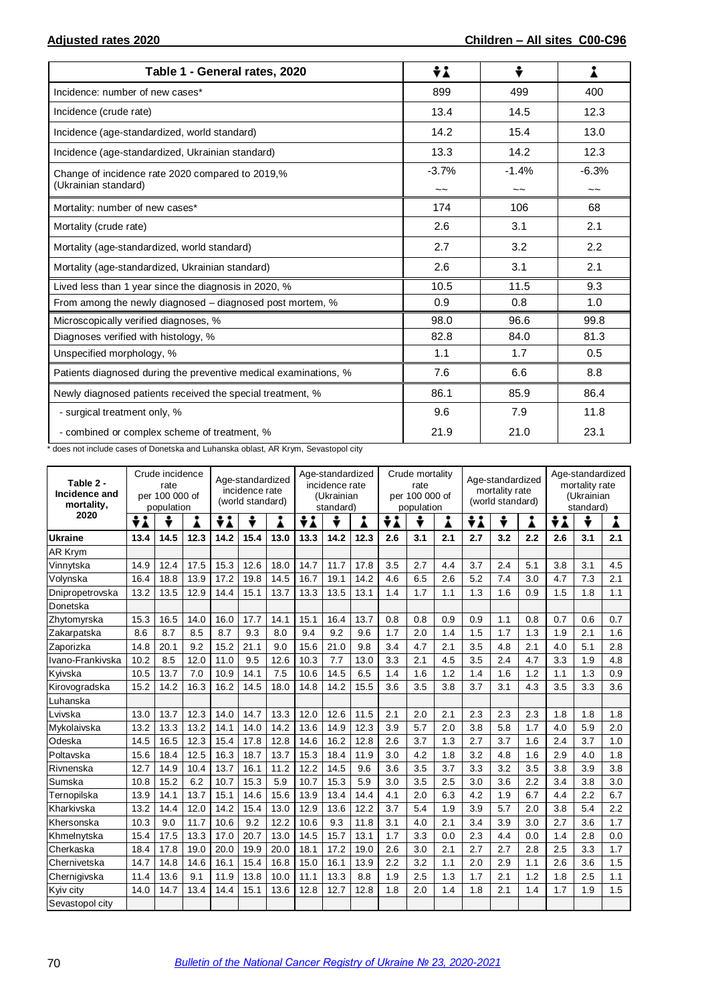| Table 1 - General rates, 2020                                            | ÷λ            | ÷             | i             |
|--------------------------------------------------------------------------|---------------|---------------|---------------|
| Incidence: number of new cases*                                          | 899           | 499           | 400           |
| Incidence (crude rate)                                                   | 13.4          | 14.5          | 12.3          |
| Incidence (age-standardized, world standard)                             | 14.2          | 15.4          | 13.0          |
| Incidence (age-standardized, Ukrainian standard)                         | 13.3          | 14.2          | 12.3          |
| Change of incidence rate 2020 compared to 2019,%<br>(Ukrainian standard) | $-3.7%$<br>~~ | $-1.4%$<br>~~ | $-6.3%$<br>~~ |
| Mortality: number of new cases*                                          | 174           | 106           | 68            |
| Mortality (crude rate)                                                   | 2.6           | 3.1           | 2.1           |
| Mortality (age-standardized, world standard)                             | 2.7           | 3.2           | 2.2           |
| Mortality (age-standardized, Ukrainian standard)                         | 2.6           | 3.1           | 2.1           |
| Lived less than 1 year since the diagnosis in 2020, %                    | 10.5          | 11.5          | 9.3           |
| From among the newly diagnosed – diagnosed post mortem, %                | 0.9           | 0.8           | 1.0           |
| Microscopically verified diagnoses, %                                    | 98.0          | 96.6          | 99.8          |
| Diagnoses verified with histology, %                                     | 82.8          | 84.0          | 81.3          |
| Unspecified morphology, %                                                | 1.1           | 1.7           | 0.5           |
| Patients diagnosed during the preventive medical examinations, %         | 7.6           | 6.6           | 8.8           |
| Newly diagnosed patients received the special treatment, %               | 86.1          | 85.9          | 86.4          |
| - surgical treatment only, %                                             | 9.6           | 7.9           | 11.8          |
| - combined or complex scheme of treatment, %                             | 21.9          | 21.0          | 23.1          |

\* does not include cases of Donetska and Luhanska oblast, AR Krym, Sevastopol city

| Table 2 -<br>Incidence and<br>mortality, | Crude incidence<br>rate<br>per 100 000 of<br>population |      |      | Age-standardized<br>incidence rate<br>(world standard) |      |      | Age-standardized<br>incidence rate<br>(Ukrainian<br>standard) |      |      | Crude mortality<br>rate<br>per 100 000 of<br>population |     |     | Age-standardized<br>mortality rate<br>(world standard) |     | Age-standardized<br>mortality rate<br>(Ukrainian<br>standard) |     |     |     |
|------------------------------------------|---------------------------------------------------------|------|------|--------------------------------------------------------|------|------|---------------------------------------------------------------|------|------|---------------------------------------------------------|-----|-----|--------------------------------------------------------|-----|---------------------------------------------------------------|-----|-----|-----|
| 2020                                     | ÷i                                                      | ÷    | i    | ÷i                                                     | ÷    | i    | ÷i                                                            | ÷    | Å    | ÷i                                                      | ÷   | Å   | ÷i                                                     | ÷   | Å                                                             | ÷i  | ÷   | Å   |
| <b>Ukraine</b>                           | 13.4                                                    | 14.5 | 12.3 | 14.2                                                   | 15.4 | 13.0 | 13.3                                                          | 14.2 | 12.3 | 2.6                                                     | 3.1 | 2.1 | 2.7                                                    | 3.2 | 2.2                                                           | 2.6 | 3.1 | 2.1 |
| <b>AR Krym</b>                           |                                                         |      |      |                                                        |      |      |                                                               |      |      |                                                         |     |     |                                                        |     |                                                               |     |     |     |
| Vinnytska                                | 14.9                                                    | 12.4 | 17.5 | 15.3                                                   | 12.6 | 18.0 | 14.7                                                          | 11.7 | 17.8 | 3.5                                                     | 2.7 | 4.4 | 3.7                                                    | 2.4 | 5.1                                                           | 3.8 | 3.1 | 4.5 |
| Volynska                                 | 16.4                                                    | 18.8 | 13.9 | 17.2                                                   | 19.8 | 14.5 | 16.7                                                          | 19.1 | 14.2 | 4.6                                                     | 6.5 | 2.6 | 5.2                                                    | 7.4 | 3.0                                                           | 4.7 | 7.3 | 2.1 |
| Dnipropetrovska                          | 13.2                                                    | 13.5 | 12.9 | 14.4                                                   | 15.1 | 13.7 | 13.3                                                          | 13.5 | 13.1 | 1.4                                                     | 1.7 | 1.1 | 1.3                                                    | 1.6 | 0.9                                                           | 1.5 | 1.8 | 1.1 |
| Donetska                                 |                                                         |      |      |                                                        |      |      |                                                               |      |      |                                                         |     |     |                                                        |     |                                                               |     |     |     |
| Zhytomyrska                              | 15.3                                                    | 16.5 | 14.0 | 16.0                                                   | 17.7 | 14.1 | 15.1                                                          | 16.4 | 13.7 | 0.8                                                     | 0.8 | 0.9 | 0.9                                                    | 1.1 | 0.8                                                           | 0.7 | 0.6 | 0.7 |
| Zakarpatska                              | 8.6                                                     | 8.7  | 8.5  | 8.7                                                    | 9.3  | 8.0  | 9.4                                                           | 9.2  | 9.6  | 1.7                                                     | 2.0 | 1.4 | 1.5                                                    | 1.7 | 1.3                                                           | 1.9 | 2.1 | 1.6 |
| Zaporizka                                | 14.8                                                    | 20.1 | 9.2  | 15.2                                                   | 21.1 | 9.0  | 15.6                                                          | 21.0 | 9.8  | 3.4                                                     | 4.7 | 2.1 | 3.5                                                    | 4.8 | 2.1                                                           | 4.0 | 5.1 | 2.8 |
| Ivano-Frankivska                         | 10.2                                                    | 8.5  | 12.0 | 11.0                                                   | 9.5  | 12.6 | 10.3                                                          | 7.7  | 13.0 | 3.3                                                     | 2.1 | 4.5 | 3.5                                                    | 2.4 | 4.7                                                           | 3.3 | 1.9 | 4.8 |
| Kyivska                                  | 10.5                                                    | 13.7 | 7.0  | 10.9                                                   | 14.1 | 7.5  | 10.6                                                          | 14.5 | 6.5  | 1.4                                                     | 1.6 | 1.2 | 1.4                                                    | 1.6 | 1.2                                                           | 1.1 | 1.3 | 0.9 |
| Kirovogradska                            | 15.2                                                    | 14.2 | 16.3 | 16.2                                                   | 14.5 | 18.0 | 14.8                                                          | 14.2 | 15.5 | 3.6                                                     | 3.5 | 3.8 | 3.7                                                    | 3.1 | 4.3                                                           | 3.5 | 3.3 | 3.6 |
| Luhanska                                 |                                                         |      |      |                                                        |      |      |                                                               |      |      |                                                         |     |     |                                                        |     |                                                               |     |     |     |
| Lvivska                                  | 13.0                                                    | 13.7 | 12.3 | 14.0                                                   | 14.7 | 13.3 | 12.0                                                          | 12.6 | 11.5 | 2.1                                                     | 2.0 | 2.1 | 2.3                                                    | 2.3 | 2.3                                                           | 1.8 | 1.8 | 1.8 |
| Mykolaivska                              | 13.2                                                    | 13.3 | 13.2 | 14.1                                                   | 14.0 | 14.2 | 13.6                                                          | 14.9 | 12.3 | 3.9                                                     | 5.7 | 2.0 | 3.8                                                    | 5.8 | 1.7                                                           | 4.0 | 5.9 | 2.0 |
| Odeska                                   | 14.5                                                    | 16.5 | 12.3 | 15.4                                                   | 17.8 | 12.8 | 14.6                                                          | 16.2 | 12.8 | 2.6                                                     | 3.7 | 1.3 | 2.7                                                    | 3.7 | 1.6                                                           | 2.4 | 3.7 | 1.0 |
| Poltavska                                | 15.6                                                    | 18.4 | 12.5 | 16.3                                                   | 18.7 | 13.7 | 15.3                                                          | 18.4 | 11.9 | 3.0                                                     | 4.2 | 1.8 | 3.2                                                    | 4.8 | 1.6                                                           | 2.9 | 4.0 | 1.8 |
| Rivnenska                                | 12.7                                                    | 14.9 | 10.4 | 13.7                                                   | 16.1 | 11.2 | 12.2                                                          | 14.5 | 9.6  | 3.6                                                     | 3.5 | 3.7 | 3.3                                                    | 3.2 | 3.5                                                           | 3.8 | 3.9 | 3.8 |
| Sumska                                   | 10.8                                                    | 15.2 | 6.2  | 10.7                                                   | 15.3 | 5.9  | 10.7                                                          | 15.3 | 5.9  | 3.0                                                     | 3.5 | 2.5 | 3.0                                                    | 3.6 | 2.2                                                           | 3.4 | 3.8 | 3.0 |
| Ternopilska                              | 13.9                                                    | 14.1 | 13.7 | 15.1                                                   | 14.6 | 15.6 | 13.9                                                          | 13.4 | 14.4 | 4.1                                                     | 2.0 | 6.3 | 4.2                                                    | 1.9 | 6.7                                                           | 4.4 | 2.2 | 6.7 |
| Kharkivska                               | 13.2                                                    | 14.4 | 12.0 | 14.2                                                   | 15.4 | 13.0 | 12.9                                                          | 13.6 | 12.2 | 3.7                                                     | 5.4 | 1.9 | 3.9                                                    | 5.7 | 2.0                                                           | 3.8 | 5.4 | 2.2 |
| Khersonska                               | 10.3                                                    | 9.0  | 11.7 | 10.6                                                   | 9.2  | 12.2 | 10.6                                                          | 9.3  | 11.8 | 3.1                                                     | 4.0 | 2.1 | 3.4                                                    | 3.9 | 3.0                                                           | 2.7 | 3.6 | 1.7 |
| Khmelnytska                              | 15.4                                                    | 17.5 | 13.3 | 17.0                                                   | 20.7 | 13.0 | 14.5                                                          | 15.7 | 13.1 | 1.7                                                     | 3.3 | 0.0 | 2.3                                                    | 4.4 | 0.0                                                           | 1.4 | 2.8 | 0.0 |
| Cherkaska                                | 18.4                                                    | 17.8 | 19.0 | 20.0                                                   | 19.9 | 20.0 | 18.1                                                          | 17.2 | 19.0 | 2.6                                                     | 3.0 | 2.1 | 2.7                                                    | 2.7 | 2.8                                                           | 2.5 | 3.3 | 1.7 |
| Chernivetska                             | 14.7                                                    | 14.8 | 14.6 | 16.1                                                   | 15.4 | 16.8 | 15.0                                                          | 16.1 | 13.9 | 2.2                                                     | 3.2 | 1.1 | 2.0                                                    | 2.9 | 1.1                                                           | 2.6 | 3.6 | 1.5 |
| Chernigivska                             | 11.4                                                    | 13.6 | 9.1  | 11.9                                                   | 13.8 | 10.0 | 11.1                                                          | 13.3 | 8.8  | 1.9                                                     | 2.5 | 1.3 | 1.7                                                    | 2.1 | 1.2                                                           | 1.8 | 2.5 | 1.1 |
| Kyiv city                                | 14.0                                                    | 14.7 | 13.4 | 14.4                                                   | 15.1 | 13.6 | 12.8                                                          | 12.7 | 12.8 | 1.8                                                     | 2.0 | 1.4 | 1.8                                                    | 2.1 | 1.4                                                           | 1.7 | 1.9 | 1.5 |
| Sevastopol city                          |                                                         |      |      |                                                        |      |      |                                                               |      |      |                                                         |     |     |                                                        |     |                                                               |     |     |     |